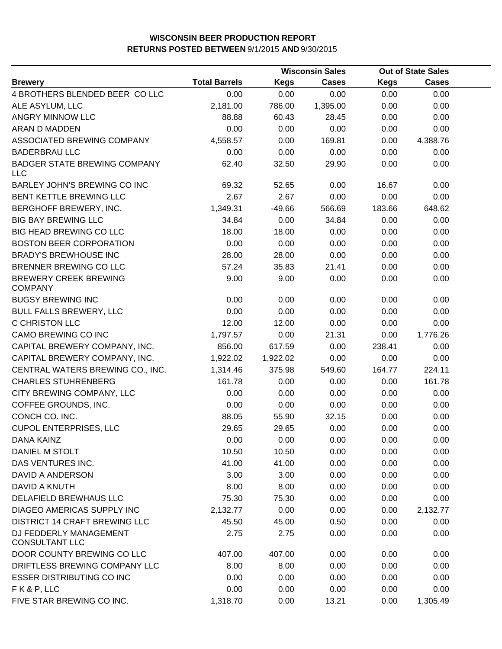|                                                   |                      |             | <b>Wisconsin Sales</b> |             | <b>Out of State Sales</b> |  |
|---------------------------------------------------|----------------------|-------------|------------------------|-------------|---------------------------|--|
| <b>Brewery</b>                                    | <b>Total Barrels</b> | <b>Kegs</b> | <b>Cases</b>           | <b>Kegs</b> | <b>Cases</b>              |  |
| 4 BROTHERS BLENDED BEER COLLC                     | 0.00                 | 0.00        | 0.00                   | 0.00        | 0.00                      |  |
| ALE ASYLUM, LLC                                   | 2,181.00             | 786.00      | 1,395.00               | 0.00        | 0.00                      |  |
| ANGRY MINNOW LLC                                  | 88.88                | 60.43       | 28.45                  | 0.00        | 0.00                      |  |
| ARAN D MADDEN                                     | 0.00                 | 0.00        | 0.00                   | 0.00        | 0.00                      |  |
| ASSOCIATED BREWING COMPANY                        | 4,558.57             | 0.00        | 169.81                 | 0.00        | 4,388.76                  |  |
| <b>BADERBRAU LLC</b>                              | 0.00                 | 0.00        | 0.00                   | 0.00        | 0.00                      |  |
| <b>BADGER STATE BREWING COMPANY</b><br><b>LLC</b> | 62.40                | 32.50       | 29.90                  | 0.00        | 0.00                      |  |
| BARLEY JOHN'S BREWING CO INC                      | 69.32                | 52.65       | 0.00                   | 16.67       | 0.00                      |  |
| BENT KETTLE BREWING LLC                           | 2.67                 | 2.67        | 0.00                   | 0.00        | 0.00                      |  |
| BERGHOFF BREWERY, INC.                            | 1,349.31             | $-49.66$    | 566.69                 | 183.66      | 648.62                    |  |
| <b>BIG BAY BREWING LLC</b>                        | 34.84                | 0.00        | 34.84                  | 0.00        | 0.00                      |  |
| <b>BIG HEAD BREWING CO LLC</b>                    | 18.00                | 18.00       | 0.00                   | 0.00        | 0.00                      |  |
| <b>BOSTON BEER CORPORATION</b>                    | 0.00                 | 0.00        | 0.00                   | 0.00        | 0.00                      |  |
| <b>BRADY'S BREWHOUSE INC</b>                      | 28.00                | 28.00       | 0.00                   | 0.00        | 0.00                      |  |
| BRENNER BREWING CO LLC                            | 57.24                | 35.83       | 21.41                  | 0.00        | 0.00                      |  |
| <b>BREWERY CREEK BREWING</b><br><b>COMPANY</b>    | 9.00                 | 9.00        | 0.00                   | 0.00        | 0.00                      |  |
| <b>BUGSY BREWING INC</b>                          | 0.00                 | 0.00        | 0.00                   | 0.00        | 0.00                      |  |
| <b>BULL FALLS BREWERY, LLC</b>                    | 0.00                 | 0.00        | 0.00                   | 0.00        | 0.00                      |  |
| C CHRISTON LLC                                    | 12.00                | 12.00       | 0.00                   | 0.00        | 0.00                      |  |
| CAMO BREWING CO INC                               | 1,797.57             | 0.00        | 21.31                  | 0.00        | 1,776.26                  |  |
| CAPITAL BREWERY COMPANY, INC.                     | 856.00               | 617.59      | 0.00                   | 238.41      | 0.00                      |  |
| CAPITAL BREWERY COMPANY, INC.                     | 1,922.02             | 1,922.02    | 0.00                   | 0.00        | 0.00                      |  |
| CENTRAL WATERS BREWING CO., INC.                  | 1,314.46             | 375.98      | 549.60                 | 164.77      | 224.11                    |  |
| <b>CHARLES STUHRENBERG</b>                        | 161.78               | 0.00        | 0.00                   | 0.00        | 161.78                    |  |
| CITY BREWING COMPANY, LLC                         | 0.00                 | 0.00        | 0.00                   | 0.00        | 0.00                      |  |
| COFFEE GROUNDS, INC.                              | 0.00                 | 0.00        | 0.00                   | 0.00        | 0.00                      |  |
| CONCH CO. INC.                                    | 88.05                | 55.90       | 32.15                  | 0.00        | 0.00                      |  |
| <b>CUPOL ENTERPRISES, LLC</b>                     | 29.65                | 29.65       | 0.00                   | 0.00        | 0.00                      |  |
| DANA KAINZ                                        | 0.00                 | 0.00        | 0.00                   | 0.00        | 0.00                      |  |
| DANIEL M STOLT                                    | 10.50                | 10.50       | 0.00                   | 0.00        | 0.00                      |  |
| DAS VENTURES INC.                                 | 41.00                | 41.00       | 0.00                   | 0.00        | 0.00                      |  |
| <b>DAVID A ANDERSON</b>                           | 3.00                 | 3.00        | 0.00                   | 0.00        | 0.00                      |  |
| DAVID A KNUTH                                     | 8.00                 | 8.00        | 0.00                   | 0.00        | 0.00                      |  |
| DELAFIELD BREWHAUS LLC                            | 75.30                | 75.30       | 0.00                   | 0.00        | 0.00                      |  |
| DIAGEO AMERICAS SUPPLY INC                        | 2,132.77             | 0.00        | 0.00                   | 0.00        | 2,132.77                  |  |
| <b>DISTRICT 14 CRAFT BREWING LLC</b>              | 45.50                | 45.00       | 0.50                   | 0.00        | 0.00                      |  |
| DJ FEDDERLY MANAGEMENT<br><b>CONSULTANT LLC</b>   | 2.75                 | 2.75        | 0.00                   | 0.00        | 0.00                      |  |
| DOOR COUNTY BREWING CO LLC                        | 407.00               | 407.00      | 0.00                   | 0.00        | 0.00                      |  |
| DRIFTLESS BREWING COMPANY LLC                     | 8.00                 | 8.00        | 0.00                   | 0.00        | 0.00                      |  |
| <b>ESSER DISTRIBUTING CO INC</b>                  | 0.00                 | 0.00        | 0.00                   | 0.00        | 0.00                      |  |
| FK&P, LLC                                         | 0.00                 | 0.00        | 0.00                   | 0.00        | 0.00                      |  |
| FIVE STAR BREWING CO INC.                         | 1,318.70             | 0.00        | 13.21                  | 0.00        | 1,305.49                  |  |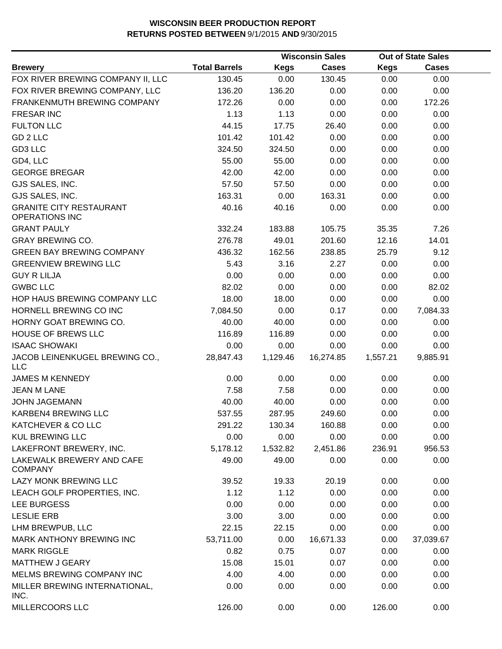|                                                         |                      |             | <b>Wisconsin Sales</b> |             | <b>Out of State Sales</b> |  |
|---------------------------------------------------------|----------------------|-------------|------------------------|-------------|---------------------------|--|
| <b>Brewery</b>                                          | <b>Total Barrels</b> | <b>Kegs</b> | <b>Cases</b>           | <b>Kegs</b> | <b>Cases</b>              |  |
| FOX RIVER BREWING COMPANY II, LLC                       | 130.45               | 0.00        | 130.45                 | 0.00        | 0.00                      |  |
| FOX RIVER BREWING COMPANY, LLC                          | 136.20               | 136.20      | 0.00                   | 0.00        | 0.00                      |  |
| FRANKENMUTH BREWING COMPANY                             | 172.26               | 0.00        | 0.00                   | 0.00        | 172.26                    |  |
| <b>FRESAR INC</b>                                       | 1.13                 | 1.13        | 0.00                   | 0.00        | 0.00                      |  |
| <b>FULTON LLC</b>                                       | 44.15                | 17.75       | 26.40                  | 0.00        | 0.00                      |  |
| GD 2 LLC                                                | 101.42               | 101.42      | 0.00                   | 0.00        | 0.00                      |  |
| GD3 LLC                                                 | 324.50               | 324.50      | 0.00                   | 0.00        | 0.00                      |  |
| GD4, LLC                                                | 55.00                | 55.00       | 0.00                   | 0.00        | 0.00                      |  |
| <b>GEORGE BREGAR</b>                                    | 42.00                | 42.00       | 0.00                   | 0.00        | 0.00                      |  |
| GJS SALES, INC.                                         | 57.50                | 57.50       | 0.00                   | 0.00        | 0.00                      |  |
| GJS SALES, INC.                                         | 163.31               | 0.00        | 163.31                 | 0.00        | 0.00                      |  |
| <b>GRANITE CITY RESTAURANT</b><br><b>OPERATIONS INC</b> | 40.16                | 40.16       | 0.00                   | 0.00        | 0.00                      |  |
| <b>GRANT PAULY</b>                                      | 332.24               | 183.88      | 105.75                 | 35.35       | 7.26                      |  |
| <b>GRAY BREWING CO.</b>                                 | 276.78               | 49.01       | 201.60                 | 12.16       | 14.01                     |  |
| <b>GREEN BAY BREWING COMPANY</b>                        | 436.32               | 162.56      | 238.85                 | 25.79       | 9.12                      |  |
| <b>GREENVIEW BREWING LLC</b>                            | 5.43                 | 3.16        | 2.27                   | 0.00        | 0.00                      |  |
| <b>GUY R LILJA</b>                                      | 0.00                 | 0.00        | 0.00                   | 0.00        | 0.00                      |  |
| <b>GWBC LLC</b>                                         | 82.02                | 0.00        | 0.00                   | 0.00        | 82.02                     |  |
| HOP HAUS BREWING COMPANY LLC                            | 18.00                | 18.00       | 0.00                   | 0.00        | 0.00                      |  |
| HORNELL BREWING CO INC                                  | 7,084.50             | 0.00        | 0.17                   | 0.00        | 7,084.33                  |  |
| HORNY GOAT BREWING CO.                                  | 40.00                | 40.00       | 0.00                   | 0.00        | 0.00                      |  |
| <b>HOUSE OF BREWS LLC</b>                               | 116.89               | 116.89      | 0.00                   | 0.00        | 0.00                      |  |
| <b>ISAAC SHOWAKI</b>                                    | 0.00                 | 0.00        | 0.00                   | 0.00        | 0.00                      |  |
| JACOB LEINENKUGEL BREWING CO.,<br><b>LLC</b>            | 28,847.43            | 1,129.46    | 16,274.85              | 1,557.21    | 9,885.91                  |  |
| <b>JAMES M KENNEDY</b>                                  | 0.00                 | 0.00        | 0.00                   | 0.00        | 0.00                      |  |
| <b>JEAN M LANE</b>                                      | 7.58                 | 7.58        | 0.00                   | 0.00        | 0.00                      |  |
| <b>JOHN JAGEMANN</b>                                    | 40.00                | 40.00       | 0.00                   | 0.00        | 0.00                      |  |
| KARBEN4 BREWING LLC                                     | 537.55               | 287.95      | 249.60                 | 0.00        | 0.00                      |  |
| KATCHEVER & CO LLC                                      | 291.22               | 130.34      | 160.88                 | 0.00        | 0.00                      |  |
| <b>KUL BREWING LLC</b>                                  | 0.00                 | 0.00        | 0.00                   | 0.00        | 0.00                      |  |
| LAKEFRONT BREWERY, INC.                                 | 5,178.12             | 1,532.82    | 2,451.86               | 236.91      | 956.53                    |  |
| LAKEWALK BREWERY AND CAFE<br><b>COMPANY</b>             | 49.00                | 49.00       | 0.00                   | 0.00        | 0.00                      |  |
| LAZY MONK BREWING LLC                                   | 39.52                | 19.33       | 20.19                  | 0.00        | 0.00                      |  |
| LEACH GOLF PROPERTIES, INC.                             | 1.12                 | 1.12        | 0.00                   | 0.00        | 0.00                      |  |
| LEE BURGESS                                             | 0.00                 | 0.00        | 0.00                   | 0.00        | 0.00                      |  |
| <b>LESLIE ERB</b>                                       | 3.00                 | 3.00        | 0.00                   | 0.00        | 0.00                      |  |
| LHM BREWPUB, LLC                                        | 22.15                | 22.15       | 0.00                   | 0.00        | 0.00                      |  |
| MARK ANTHONY BREWING INC                                | 53,711.00            | 0.00        | 16,671.33              | 0.00        | 37,039.67                 |  |
| <b>MARK RIGGLE</b>                                      | 0.82                 | 0.75        | 0.07                   | 0.00        | 0.00                      |  |
| <b>MATTHEW J GEARY</b>                                  | 15.08                | 15.01       | 0.07                   | 0.00        | 0.00                      |  |
| MELMS BREWING COMPANY INC                               | 4.00                 | 4.00        | 0.00                   | 0.00        | 0.00                      |  |
| MILLER BREWING INTERNATIONAL,<br>INC.                   | 0.00                 | 0.00        | 0.00                   | 0.00        | 0.00                      |  |
| MILLERCOORS LLC                                         | 126.00               | 0.00        | 0.00                   | 126.00      | 0.00                      |  |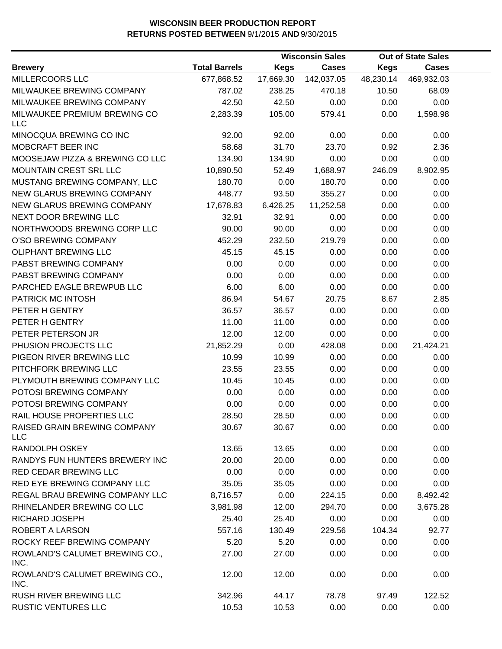|                                            |                      |             | <b>Wisconsin Sales</b> |             | <b>Out of State Sales</b> |  |
|--------------------------------------------|----------------------|-------------|------------------------|-------------|---------------------------|--|
| <b>Brewery</b>                             | <b>Total Barrels</b> | <b>Kegs</b> | <b>Cases</b>           | <b>Kegs</b> | <b>Cases</b>              |  |
| MILLERCOORS LLC                            | 677,868.52           | 17,669.30   | 142,037.05             | 48,230.14   | 469,932.03                |  |
| MILWAUKEE BREWING COMPANY                  | 787.02               | 238.25      | 470.18                 | 10.50       | 68.09                     |  |
| MILWAUKEE BREWING COMPANY                  | 42.50                | 42.50       | 0.00                   | 0.00        | 0.00                      |  |
| MILWAUKEE PREMIUM BREWING CO<br><b>LLC</b> | 2,283.39             | 105.00      | 579.41                 | 0.00        | 1,598.98                  |  |
| MINOCQUA BREWING CO INC                    | 92.00                | 92.00       | 0.00                   | 0.00        | 0.00                      |  |
| MOBCRAFT BEER INC                          | 58.68                | 31.70       | 23.70                  | 0.92        | 2.36                      |  |
| MOOSEJAW PIZZA & BREWING CO LLC            | 134.90               | 134.90      | 0.00                   | 0.00        | 0.00                      |  |
| MOUNTAIN CREST SRL LLC                     | 10,890.50            | 52.49       | 1,688.97               | 246.09      | 8,902.95                  |  |
| MUSTANG BREWING COMPANY, LLC               | 180.70               | 0.00        | 180.70                 | 0.00        | 0.00                      |  |
| NEW GLARUS BREWING COMPANY                 | 448.77               | 93.50       | 355.27                 | 0.00        | 0.00                      |  |
| NEW GLARUS BREWING COMPANY                 | 17,678.83            | 6,426.25    | 11,252.58              | 0.00        | 0.00                      |  |
| NEXT DOOR BREWING LLC                      | 32.91                | 32.91       | 0.00                   | 0.00        | 0.00                      |  |
| NORTHWOODS BREWING CORP LLC                | 90.00                | 90.00       | 0.00                   | 0.00        | 0.00                      |  |
| O'SO BREWING COMPANY                       | 452.29               | 232.50      | 219.79                 | 0.00        | 0.00                      |  |
| OLIPHANT BREWING LLC                       | 45.15                | 45.15       | 0.00                   | 0.00        | 0.00                      |  |
| PABST BREWING COMPANY                      | 0.00                 | 0.00        | 0.00                   | 0.00        | 0.00                      |  |
| PABST BREWING COMPANY                      | 0.00                 | 0.00        | 0.00                   | 0.00        | 0.00                      |  |
| PARCHED EAGLE BREWPUB LLC                  | 6.00                 | 6.00        | 0.00                   | 0.00        | 0.00                      |  |
| PATRICK MC INTOSH                          | 86.94                | 54.67       | 20.75                  | 8.67        | 2.85                      |  |
| PETER H GENTRY                             | 36.57                | 36.57       | 0.00                   | 0.00        | 0.00                      |  |
| PETER H GENTRY                             | 11.00                | 11.00       | 0.00                   | 0.00        | 0.00                      |  |
| PETER PETERSON JR                          | 12.00                | 12.00       | 0.00                   | 0.00        | 0.00                      |  |
| PHUSION PROJECTS LLC                       | 21,852.29            | 0.00        | 428.08                 | 0.00        | 21,424.21                 |  |
| PIGEON RIVER BREWING LLC                   | 10.99                | 10.99       | 0.00                   | 0.00        | 0.00                      |  |
| PITCHFORK BREWING LLC                      | 23.55                | 23.55       | 0.00                   | 0.00        | 0.00                      |  |
| PLYMOUTH BREWING COMPANY LLC               | 10.45                | 10.45       | 0.00                   | 0.00        | 0.00                      |  |
| POTOSI BREWING COMPANY                     | 0.00                 | 0.00        | 0.00                   | 0.00        | 0.00                      |  |
| POTOSI BREWING COMPANY                     | 0.00                 | 0.00        | 0.00                   | 0.00        | 0.00                      |  |
| RAIL HOUSE PROPERTIES LLC                  | 28.50                | 28.50       | 0.00                   | 0.00        | 0.00                      |  |
| RAISED GRAIN BREWING COMPANY<br><b>LLC</b> | 30.67                | 30.67       | 0.00                   | 0.00        | 0.00                      |  |
| RANDOLPH OSKEY                             | 13.65                | 13.65       | 0.00                   | 0.00        | 0.00                      |  |
| RANDYS FUN HUNTERS BREWERY INC             | 20.00                | 20.00       | 0.00                   | 0.00        | 0.00                      |  |
| RED CEDAR BREWING LLC                      | 0.00                 | 0.00        | 0.00                   | 0.00        | 0.00                      |  |
| RED EYE BREWING COMPANY LLC                | 35.05                | 35.05       | 0.00                   | 0.00        | 0.00                      |  |
| REGAL BRAU BREWING COMPANY LLC             | 8,716.57             | 0.00        | 224.15                 | 0.00        | 8,492.42                  |  |
| RHINELANDER BREWING CO LLC                 | 3,981.98             | 12.00       | 294.70                 | 0.00        | 3,675.28                  |  |
| RICHARD JOSEPH                             | 25.40                | 25.40       | 0.00                   | 0.00        | 0.00                      |  |
| ROBERT A LARSON                            | 557.16               | 130.49      | 229.56                 | 104.34      | 92.77                     |  |
| ROCKY REEF BREWING COMPANY                 | 5.20                 | 5.20        | 0.00                   | 0.00        | 0.00                      |  |
| ROWLAND'S CALUMET BREWING CO.,<br>INC.     | 27.00                | 27.00       | 0.00                   | 0.00        | 0.00                      |  |
| ROWLAND'S CALUMET BREWING CO.,<br>INC.     | 12.00                | 12.00       | 0.00                   | 0.00        | 0.00                      |  |
| RUSH RIVER BREWING LLC                     | 342.96               | 44.17       | 78.78                  | 97.49       | 122.52                    |  |
| <b>RUSTIC VENTURES LLC</b>                 | 10.53                | 10.53       | 0.00                   | 0.00        | 0.00                      |  |